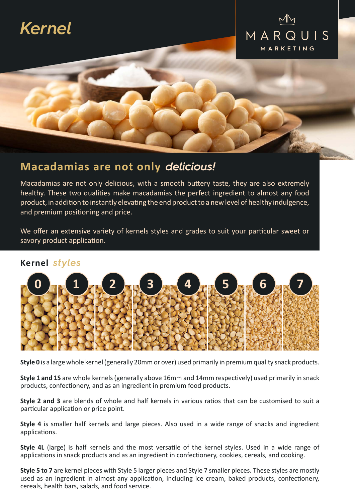# *Kernel*



## **Macadamias are not only** *delicious!*

Macadamias are not only delicious, with a smooth buttery taste, they are also extremely healthy. These two qualities make macadamias the perfect ingredient to almost any food product, in addition to instantly elevating the end product to a new level of healthy indulgence, and premium positioning and price.

We offer an extensive variety of kernels styles and grades to suit your particular sweet or savory product application.

#### **Kernel** *styles*



**Style 0** is a large whole kernel (generally 20mm or over) used primarily in premium quality snack products.

**Style 1 and 1S** are whole kernels (generally above 16mm and 14mm respectively) used primarily in snack products, confectionery, and as an ingredient in premium food products.

**Style 2 and 3** are blends of whole and half kernels in various ratios that can be customised to suit a particular application or price point.

**Style 4** is smaller half kernels and large pieces. Also used in a wide range of snacks and ingredient applications.

**Style 4L** (large) is half kernels and the most versatile of the kernel styles. Used in a wide range of applications in snack products and as an ingredient in confectionery, cookies, cereals, and cooking.

**Style 5 to 7** are kernel pieces with Style 5 larger pieces and Style 7 smaller pieces. These styles are mostly used as an ingredient in almost any application, including ice cream, baked products, confectionery, cereals, health bars, salads, and food service.